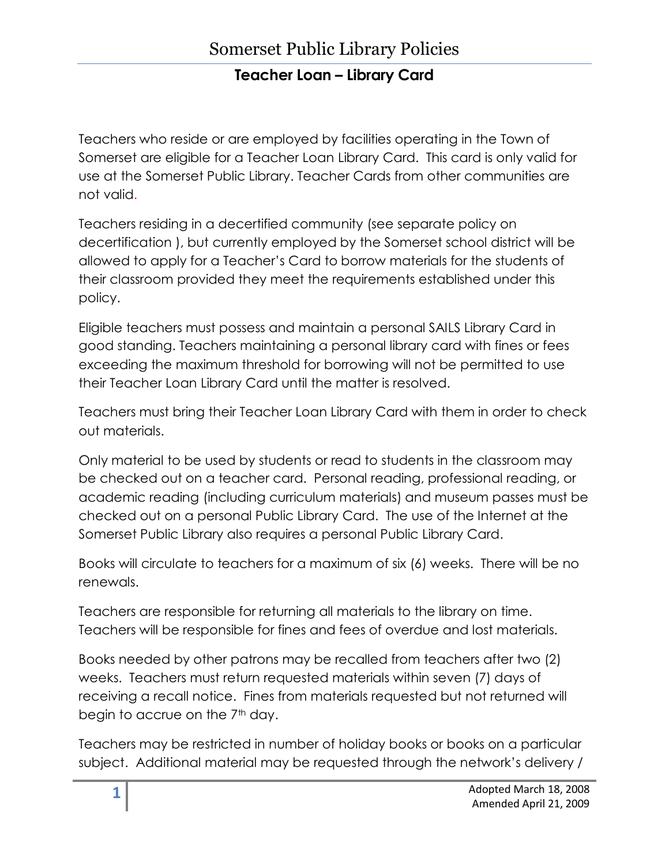Teachers who reside or are employed by facilities operating in the Town of Somerset are eligible for a Teacher Loan Library Card. This card is only valid for use at the Somerset Public Library. Teacher Cards from other communities are not valid.

Teachers residing in a decertified community (see separate policy on decertification ), but currently employed by the Somerset school district will be allowed to apply for a Teacher's Card to borrow materials for the students of their classroom provided they meet the requirements established under this policy.

Eligible teachers must possess and maintain a personal SAILS Library Card in good standing. Teachers maintaining a personal library card with fines or fees exceeding the maximum threshold for borrowing will not be permitted to use their Teacher Loan Library Card until the matter is resolved.

Teachers must bring their Teacher Loan Library Card with them in order to check out materials.

Only material to be used by students or read to students in the classroom may be checked out on a teacher card. Personal reading, professional reading, or academic reading (including curriculum materials) and museum passes must be checked out on a personal Public Library Card. The use of the Internet at the Somerset Public Library also requires a personal Public Library Card.

Books will circulate to teachers for a maximum of six (6) weeks. There will be no renewals.

Teachers are responsible for returning all materials to the library on time. Teachers will be responsible for fines and fees of overdue and lost materials.

Books needed by other patrons may be recalled from teachers after two (2) weeks. Teachers must return requested materials within seven (7) days of receiving a recall notice. Fines from materials requested but not returned will begin to accrue on the  $7<sup>th</sup>$  day.

Teachers may be restricted in number of holiday books or books on a particular subject. Additional material may be requested through the network's delivery /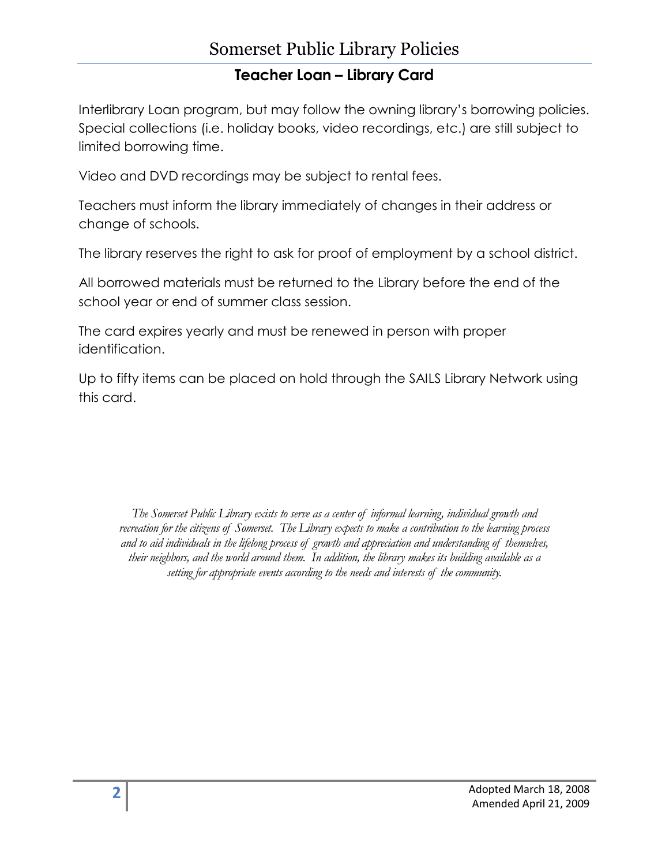## Somerset Public Library Policies

## **Teacher Loan – Library Card**

Interlibrary Loan program, but may follow the owning library's borrowing policies. Special collections (i.e. holiday books, video recordings, etc.) are still subject to limited borrowing time.

Video and DVD recordings may be subject to rental fees.

Teachers must inform the library immediately of changes in their address or change of schools.

The library reserves the right to ask for proof of employment by a school district.

All borrowed materials must be returned to the Library before the end of the school year or end of summer class session.

The card expires yearly and must be renewed in person with proper identification.

Up to fifty items can be placed on hold through the SAILS Library Network using this card.

*The Somerset Public Library exists to serve as a center of informal learning, individual growth and recreation for the citizens of Somerset. The Library expects to make a contribution to the learning process and to aid individuals in the lifelong process of growth and appreciation and understanding of themselves, their neighbors, and the world around them. In addition, the library makes its building available as a setting for appropriate events according to the needs and interests of the community.*